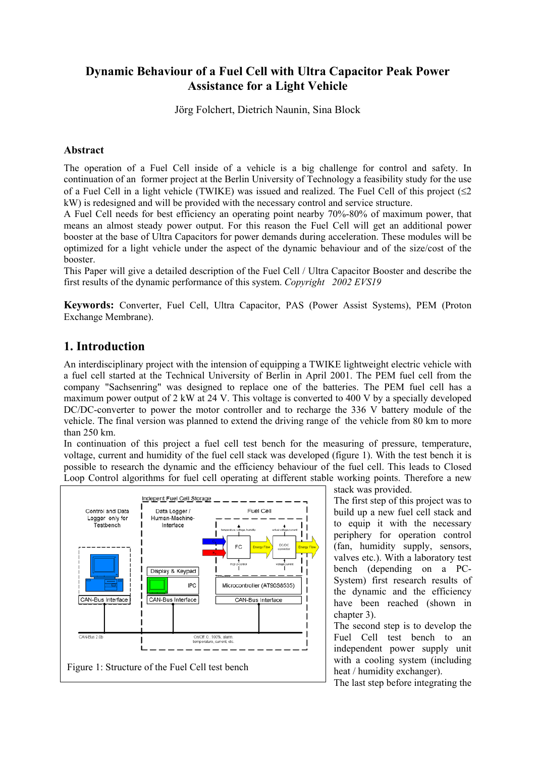## **Dynamic Behaviour of a Fuel Cell with Ultra Capacitor Peak Power Assistance for a Light Vehicle**

Jörg Folchert, Dietrich Naunin, Sina Block

#### **Abstract**

The operation of a Fuel Cell inside of a vehicle is a big challenge for control and safety. In continuation of an former project at the Berlin University of Technology a feasibility study for the use of a Fuel Cell in a light vehicle (TWIKE) was issued and realized. The Fuel Cell of this project  $(\leq 2$ kW) is redesigned and will be provided with the necessary control and service structure.

A Fuel Cell needs for best efficiency an operating point nearby 70%-80% of maximum power, that means an almost steady power output. For this reason the Fuel Cell will get an additional power booster at the base of Ultra Capacitors for power demands during acceleration. These modules will be optimized for a light vehicle under the aspect of the dynamic behaviour and of the size/cost of the booster.

This Paper will give a detailed description of the Fuel Cell / Ultra Capacitor Booster and describe the first results of the dynamic performance of this system. *Copyright 2002 EVS19*

**Keywords:** Converter, Fuel Cell, Ultra Capacitor, PAS (Power Assist Systems), PEM (Proton Exchange Membrane).

### **1. Introduction**

An interdisciplinary project with the intension of equipping a TWIKE lightweight electric vehicle with a fuel cell started at the Technical University of Berlin in April 2001. The PEM fuel cell from the company "Sachsenring" was designed to replace one of the batteries. The PEM fuel cell has a maximum power output of 2 kW at 24 V. This voltage is converted to 400 V by a specially developed DC/DC-converter to power the motor controller and to recharge the 336 V battery module of the vehicle. The final version was planned to extend the driving range of the vehicle from 80 km to more than 250 km.

In continuation of this project a fuel cell test bench for the measuring of pressure, temperature, voltage, current and humidity of the fuel cell stack was developed (figure 1). With the test bench it is possible to research the dynamic and the efficiency behaviour of the fuel cell. This leads to Closed Loop Control algorithms for fuel cell operating at different stable working points. Therefore a new



stack was provided.

The first step of this project was to build up a new fuel cell stack and to equip it with the necessary periphery for operation control (fan, humidity supply, sensors, valves etc.). With a laboratory test bench (depending on a PC-System) first research results of the dynamic and the efficiency have been reached (shown in chapter 3).

The second step is to develop the Fuel Cell test bench to an independent power supply unit with a cooling system (including heat / humidity exchanger).

The last step before integrating the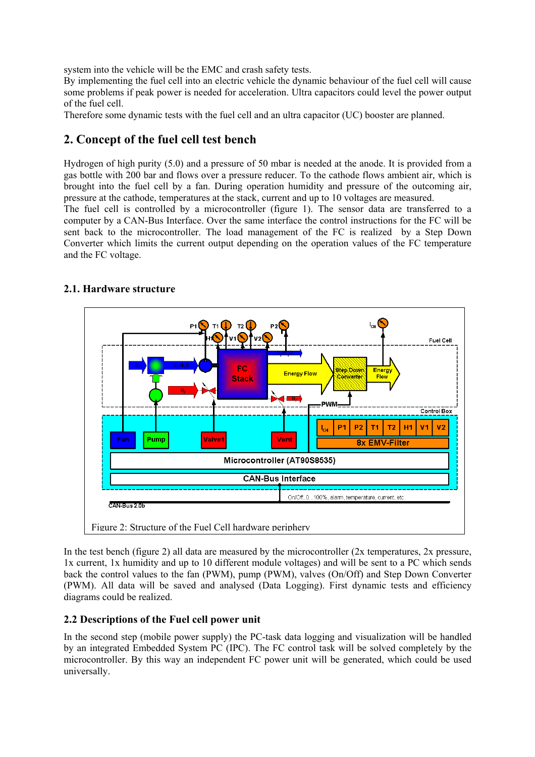system into the vehicle will be the EMC and crash safety tests.

By implementing the fuel cell into an electric vehicle the dynamic behaviour of the fuel cell will cause some problems if peak power is needed for acceleration. Ultra capacitors could level the power output of the fuel cell.

Therefore some dynamic tests with the fuel cell and an ultra capacitor (UC) booster are planned.

## **2. Concept of the fuel cell test bench**

Hydrogen of high purity (5.0) and a pressure of 50 mbar is needed at the anode. It is provided from a gas bottle with 200 bar and flows over a pressure reducer. To the cathode flows ambient air, which is brought into the fuel cell by a fan. During operation humidity and pressure of the outcoming air, pressure at the cathode, temperatures at the stack, current and up to 10 voltages are measured.

The fuel cell is controlled by a microcontroller (figure 1). The sensor data are transferred to a computer by a CAN-Bus Interface. Over the same interface the control instructions for the FC will be sent back to the microcontroller. The load management of the FC is realized by a Step Down Converter which limits the current output depending on the operation values of the FC temperature and the FC voltage.



### **2.1. Hardware structure**

In the test bench (figure 2) all data are measured by the microcontroller (2x temperatures, 2x pressure, 1x current, 1x humidity and up to 10 different module voltages) and will be sent to a PC which sends back the control values to the fan (PWM), pump (PWM), valves (On/Off) and Step Down Converter (PWM). All data will be saved and analysed (Data Logging). First dynamic tests and efficiency diagrams could be realized.

### **2.2 Descriptions of the Fuel cell power unit**

In the second step (mobile power supply) the PC-task data logging and visualization will be handled by an integrated Embedded System PC (IPC). The FC control task will be solved completely by the microcontroller. By this way an independent FC power unit will be generated, which could be used universally.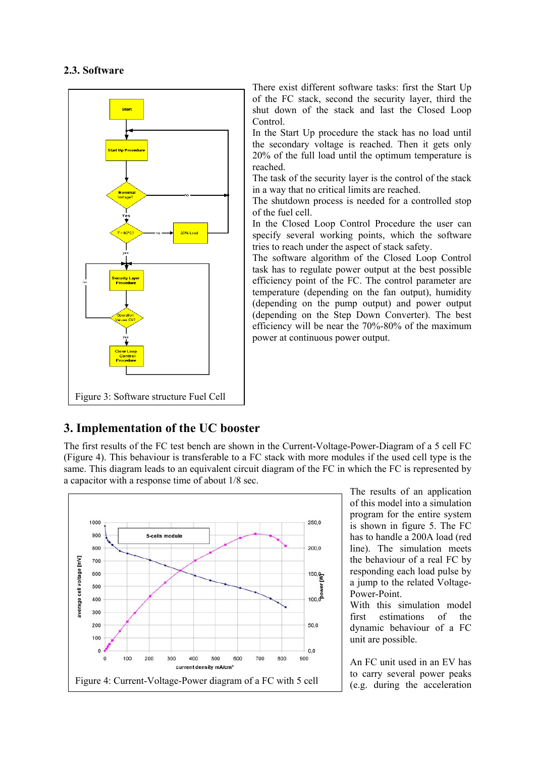#### **2.3. Software**



There exist different software tasks: first the Start Up of the FC stack, second the security layer, third the shut down of the stack and last the Closed Loop Control.

In the Start Up procedure the stack has no load until the secondary voltage is reached. Then it gets only 20% of the full load until the optimum temperature is reached.

The task of the security layer is the control of the stack in a way that no critical limits are reached.

The shutdown process is needed for a controlled stop of the fuel cell.

In the Closed Loop Control Procedure the user can specify several working points, which the software tries to reach under the aspect of stack safety.

The software algorithm of the Closed Loop Control task has to regulate power output at the best possible efficiency point of the FC. The control parameter are temperature (depending on the fan output), humidity (depending on the pump output) and power output (depending on the Step Down Converter). The best efficiency will be near the 70%-80% of the maximum power at continuous power output.

# **3. Implementation of the UC booster**

The first results of the FC test bench are shown in the Current-Voltage-Power-Diagram of a 5 cell FC (Figure 4). This behaviour is transferable to a FC stack with more modules if the used cell type is the same. This diagram leads to an equivalent circuit diagram of the FC in which the FC is represented by a capacitor with a response time of about 1/8 sec.



The results of an application of this model into a simulation program for the entire system is shown in figure 5. The FC has to handle a 200A load (red line). The simulation meets the behaviour of a real FC by responding each load pulse by a jump to the related Voltage-Power-Point.

With this simulation model first estimations of the dynamic behaviour of a FC unit are possible.

An FC unit used in an EV has to carry several power peaks (e.g. during the acceleration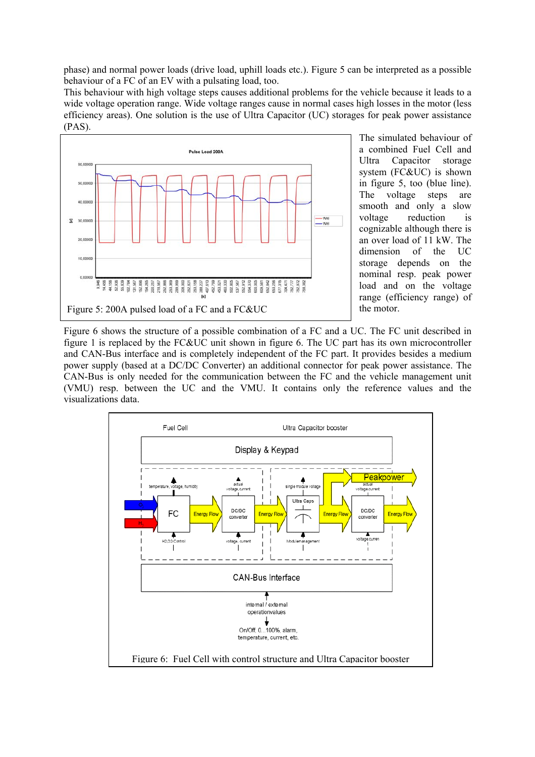phase) and normal power loads (drive load, uphill loads etc.). Figure 5 can be interpreted as a possible behaviour of a FC of an EV with a pulsating load, too.

This behaviour with high voltage steps causes additional problems for the vehicle because it leads to a wide voltage operation range. Wide voltage ranges cause in normal cases high losses in the motor (less efficiency areas). One solution is the use of Ultra Capacitor (UC) storages for peak power assistance (PAS).



The simulated behaviour of a combined Fuel Cell and Ultra Capacitor storage system (FC&UC) is shown in figure 5, too (blue line). The voltage steps are smooth and only a slow voltage reduction is cognizable although there is an over load of 11 kW. The dimension of the UC storage depends on the nominal resp. peak power load and on the voltage range (efficiency range) of

Figure 6 shows the structure of a possible combination of a FC and a UC. The FC unit described in figure 1 is replaced by the FC&UC unit shown in figure 6. The UC part has its own microcontroller and CAN-Bus interface and is completely independent of the FC part. It provides besides a medium power supply (based at a DC/DC Converter) an additional connector for peak power assistance. The CAN-Bus is only needed for the communication between the FC and the vehicle management unit (VMU) resp. between the UC and the VMU. It contains only the reference values and the visualizations data.